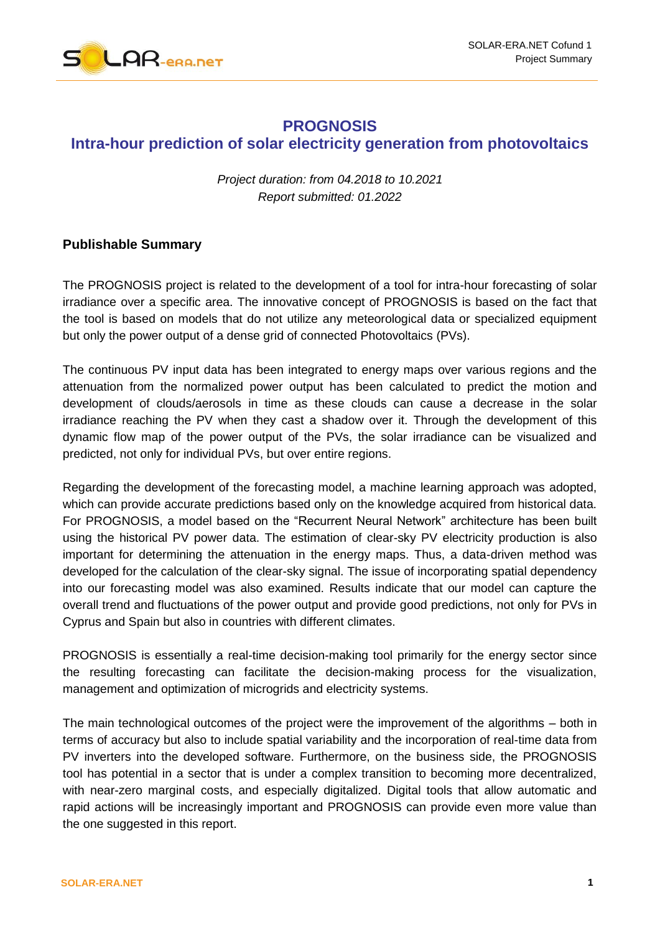

## **PROGNOSIS Intra-hour prediction of solar electricity generation from photovoltaics**

*Project duration: from 04.2018 to 10.2021 Report submitted: 01.2022*

## **Publishable Summary**

The PROGNOSIS project is related to the development of a tool for intra-hour forecasting of solar irradiance over a specific area. The innovative concept of PROGNOSIS is based on the fact that the tool is based on models that do not utilize any meteorological data or specialized equipment but only the power output of a dense grid of connected Photovoltaics (PVs).

The continuous PV input data has been integrated to energy maps over various regions and the attenuation from the normalized power output has been calculated to predict the motion and development of clouds/aerosols in time as these clouds can cause a decrease in the solar irradiance reaching the PV when they cast a shadow over it. Through the development of this dynamic flow map of the power output of the PVs, the solar irradiance can be visualized and predicted, not only for individual PVs, but over entire regions.

Regarding the development of the forecasting model, a machine learning approach was adopted, which can provide accurate predictions based only on the knowledge acquired from historical data. For PROGNOSIS, a model based on the "Recurrent Neural Network" architecture has been built using the historical PV power data. The estimation of clear-sky PV electricity production is also important for determining the attenuation in the energy maps. Thus, a data-driven method was developed for the calculation of the clear-sky signal. The issue of incorporating spatial dependency into our forecasting model was also examined. Results indicate that our model can capture the overall trend and fluctuations of the power output and provide good predictions, not only for PVs in Cyprus and Spain but also in countries with different climates.

PROGNOSIS is essentially a real-time decision-making tool primarily for the energy sector since the resulting forecasting can facilitate the decision-making process for the visualization, management and optimization of microgrids and electricity systems.

The main technological outcomes of the project were the improvement of the algorithms – both in terms of accuracy but also to include spatial variability and the incorporation of real-time data from PV inverters into the developed software. Furthermore, on the business side, the PROGNOSIS tool has potential in a sector that is under a complex transition to becoming more decentralized, with near-zero marginal costs, and especially digitalized. Digital tools that allow automatic and rapid actions will be increasingly important and PROGNOSIS can provide even more value than the one suggested in this report.